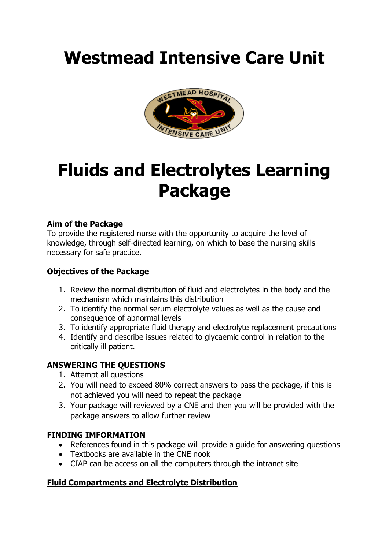# **Westmead Intensive Care Unit**



## **Fluids and Electrolytes Learning Package**

### **Aim of the Package**

To provide the registered nurse with the opportunity to acquire the level of knowledge, through self-directed learning, on which to base the nursing skills necessary for safe practice.

## **Objectives of the Package**

- 1. Review the normal distribution of fluid and electrolytes in the body and the mechanism which maintains this distribution
- 2. To identify the normal serum electrolyte values as well as the cause and consequence of abnormal levels
- 3. To identify appropriate fluid therapy and electrolyte replacement precautions
- 4. Identify and describe issues related to glycaemic control in relation to the critically ill patient.

#### **ANSWERING THE QUESTIONS**

- 1. Attempt all questions
- 2. You will need to exceed 80% correct answers to pass the package, if this is not achieved you will need to repeat the package
- 3. Your package will reviewed by a CNE and then you will be provided with the package answers to allow further review

#### **FINDING IMFORMATION**

- References found in this package will provide a guide for answering questions
- Textbooks are available in the CNE nook
- CIAP can be access on all the computers through the intranet site

## **Fluid Compartments and Electrolyte Distribution**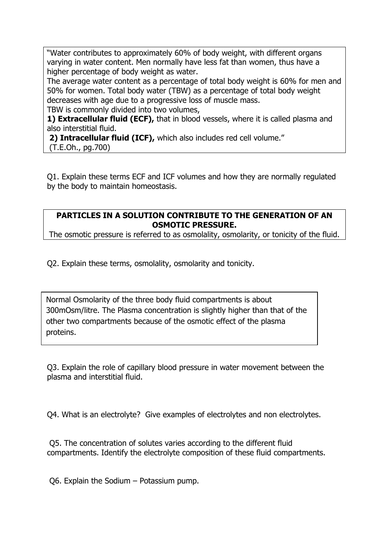"Water contributes to approximately 60% of body weight, with different organs varying in water content. Men normally have less fat than women, thus have a higher percentage of body weight as water.

The average water content as a percentage of total body weight is 60% for men and 50% for women. Total body water (TBW) as a percentage of total body weight decreases with age due to a progressive loss of muscle mass. TBW is commonly divided into two volumes,

**1) Extracellular fluid (ECF),** that in blood vessels, where it is called plasma and also interstitial fluid.

**2) Intracellular fluid (ICF),** which also includes red cell volume." (T.E.Oh., pg.700)

Q1. Explain these terms ECF and ICF volumes and how they are normally regulated by the body to maintain homeostasis.

## **PARTICLES IN A SOLUTION CONTRIBUTE TO THE GENERATION OF AN OSMOTIC PRESSURE.**

The osmotic pressure is referred to as osmolality, osmolarity, or tonicity of the fluid.

Q2. Explain these terms, osmolality, osmolarity and tonicity.

Normal Osmolarity of the three body fluid compartments is about 300mOsm/litre. The Plasma concentration is slightly higher than that of the other two compartments because of the osmotic effect of the plasma proteins.

Q3. Explain the role of capillary blood pressure in water movement between the plasma and interstitial fluid.

Q4. What is an electrolyte? Give examples of electrolytes and non electrolytes.

Q5. The concentration of solutes varies according to the different fluid compartments. Identify the electrolyte composition of these fluid compartments.

Q6. Explain the Sodium – Potassium pump.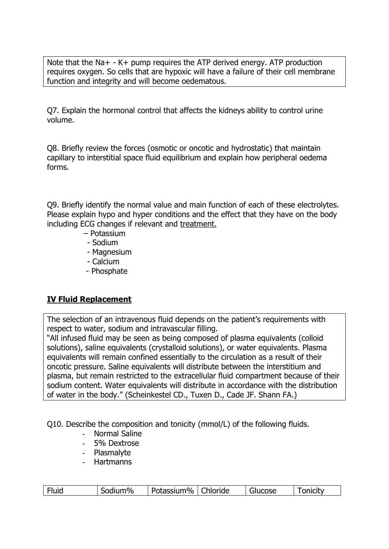Note that the Na+ - K+ pump requires the ATP derived energy. ATP production requires oxygen. So cells that are hypoxic will have a failure of their cell membrane function and integrity and will become oedematous.

Q7. Explain the hormonal control that affects the kidneys ability to control urine volume.

Q8. Briefly review the forces (osmotic or oncotic and hydrostatic) that maintain capillary to interstitial space fluid equilibrium and explain how peripheral oedema forms.

Q9. Briefly identify the normal value and main function of each of these electrolytes. Please explain hypo and hyper conditions and the effect that they have on the body including ECG changes if relevant and treatment.

- Potassium
- Sodium
- Magnesium
- Calcium
- Phosphate

## **IV Fluid Replacement**

The selection of an intravenous fluid depends on the patient's requirements with respect to water, sodium and intravascular filling.

"All infused fluid may be seen as being composed of plasma equivalents (colloid solutions), saline equivalents (crystalloid solutions), or water equivalents. Plasma equivalents will remain confined essentially to the circulation as a result of their oncotic pressure. Saline equivalents will distribute between the interstitium and plasma, but remain restricted to the extracellular fluid compartment because of their sodium content. Water equivalents will distribute in accordance with the distribution of water in the body." (Scheinkestel CD., Tuxen D., Cade JF. Shann FA.)

Q10. Describe the composition and tonicity (mmol/L) of the following fluids.

- Normal Saline
- 5% Dextrose
- Plasmalyte
- Hartmanns

| Fluid | Sodium% | Potassium% | Chloride | Glucose | onicity |
|-------|---------|------------|----------|---------|---------|
|       |         |            |          |         |         |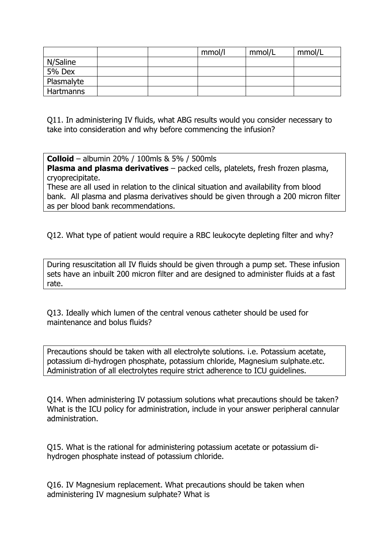|            |  | mmol/l | mmol/L | mmol/L |
|------------|--|--------|--------|--------|
| N/Saline   |  |        |        |        |
| 5% Dex     |  |        |        |        |
| Plasmalyte |  |        |        |        |
| Hartmanns  |  |        |        |        |

Q11. In administering IV fluids, what ABG results would you consider necessary to take into consideration and why before commencing the infusion?

**Colloid** – albumin 20% / 100mls & 5% / 500mls **Plasma and plasma derivatives** – packed cells, platelets, fresh frozen plasma, cryoprecipitate.

These are all used in relation to the clinical situation and availability from blood bank. All plasma and plasma derivatives should be given through a 200 micron filter as per blood bank recommendations.

Q12. What type of patient would require a RBC leukocyte depleting filter and why?

During resuscitation all IV fluids should be given through a pump set. These infusion sets have an inbuilt 200 micron filter and are designed to administer fluids at a fast rate.

Q13. Ideally which lumen of the central venous catheter should be used for maintenance and bolus fluids?

Precautions should be taken with all electrolyte solutions. i.e. Potassium acetate, potassium di-hydrogen phosphate, potassium chloride, Magnesium sulphate.etc. Administration of all electrolytes require strict adherence to ICU guidelines.

Q14. When administering IV potassium solutions what precautions should be taken? What is the ICU policy for administration, include in your answer peripheral cannular administration.

Q15. What is the rational for administering potassium acetate or potassium dihydrogen phosphate instead of potassium chloride.

Q16. IV Magnesium replacement. What precautions should be taken when administering IV magnesium sulphate? What is